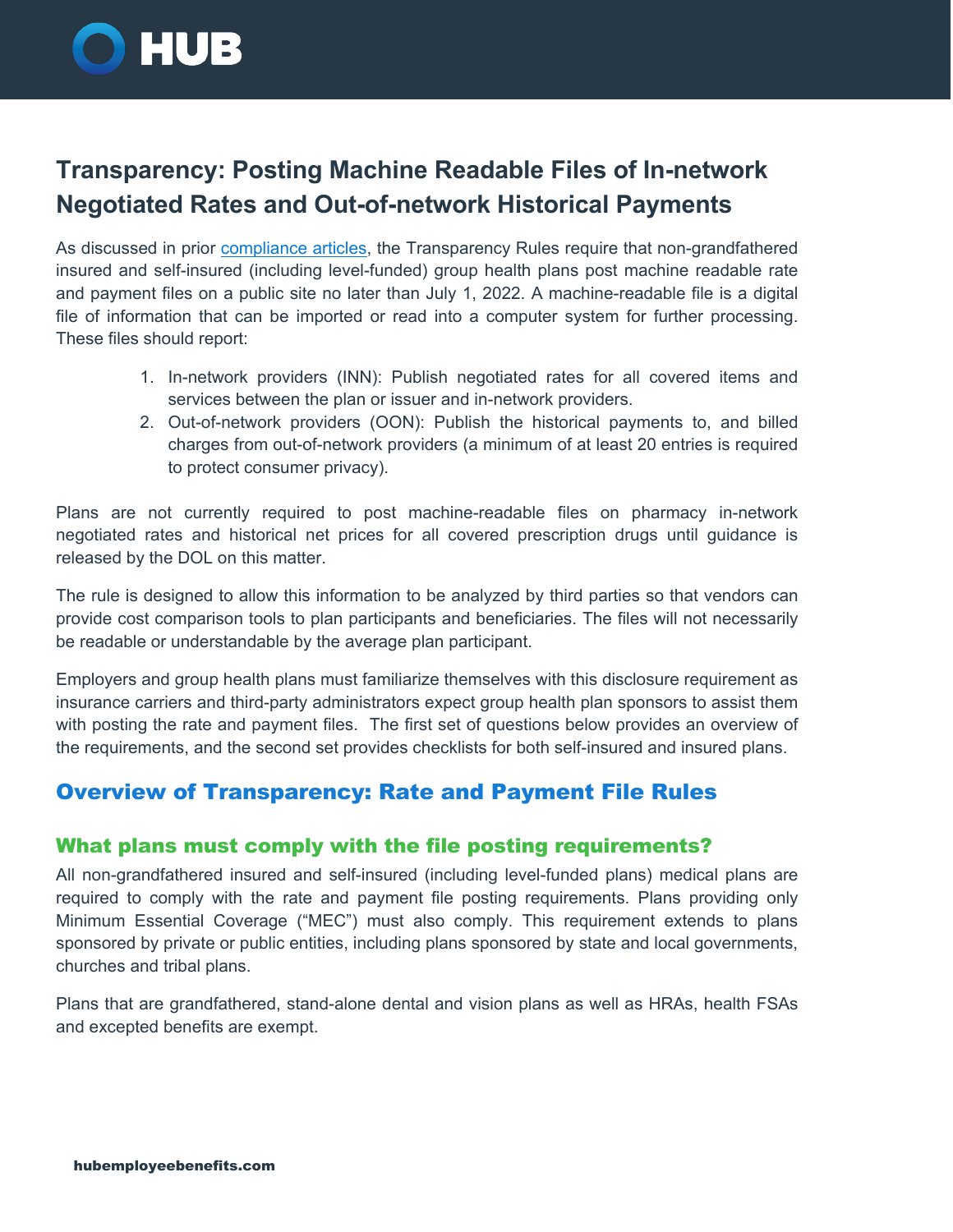

# **Transparency: Posting Machine Readable Files of In-network Negotiated Rates and Out-of-network Historical Payments**

As discussed in prior [compliance articles,](https://www.hubinternational.com/products/employee-benefits/compliance-bulletins/#f:@tags=Price%20Transparency) the Transparency Rules require that non-grandfathered insured and self-insured (including level-funded) group health plans post machine readable rate and payment files on a public site no later than July 1, 2022. A machine-readable file is a digital file of information that can be imported or read into a computer system for further processing. These files should report:

- 1. In-network providers (INN): Publish negotiated rates for all covered items and services between the plan or issuer and in-network providers.
- 2. Out-of-network providers (OON): Publish the historical payments to, and billed charges from out-of-network providers (a minimum of at least 20 entries is required to protect consumer privacy).

Plans are not currently required to post machine-readable files on pharmacy in-network negotiated rates and historical net prices for all covered prescription drugs until guidance is released by the DOL on this matter.

The rule is designed to allow this information to be analyzed by third parties so that vendors can provide cost comparison tools to plan participants and beneficiaries. The files will not necessarily be readable or understandable by the average plan participant.

Employers and group health plans must familiarize themselves with this disclosure requirement as insurance carriers and third-party administrators expect group health plan sponsors to assist them with posting the rate and payment files. The first set of questions below provides an overview of the requirements, and the second set provides checklists for both self-insured and insured plans.

# Overview of Transparency: Rate and Payment File Rules

# What plans must comply with the file posting requirements?

All non-grandfathered insured and self-insured (including level-funded plans) medical plans are required to comply with the rate and payment file posting requirements. Plans providing only Minimum Essential Coverage ("MEC") must also comply. This requirement extends to plans sponsored by private or public entities, including plans sponsored by state and local governments, churches and tribal plans.

Plans that are grandfathered, stand-alone dental and vision plans as well as HRAs, health FSAs and excepted benefits are exempt.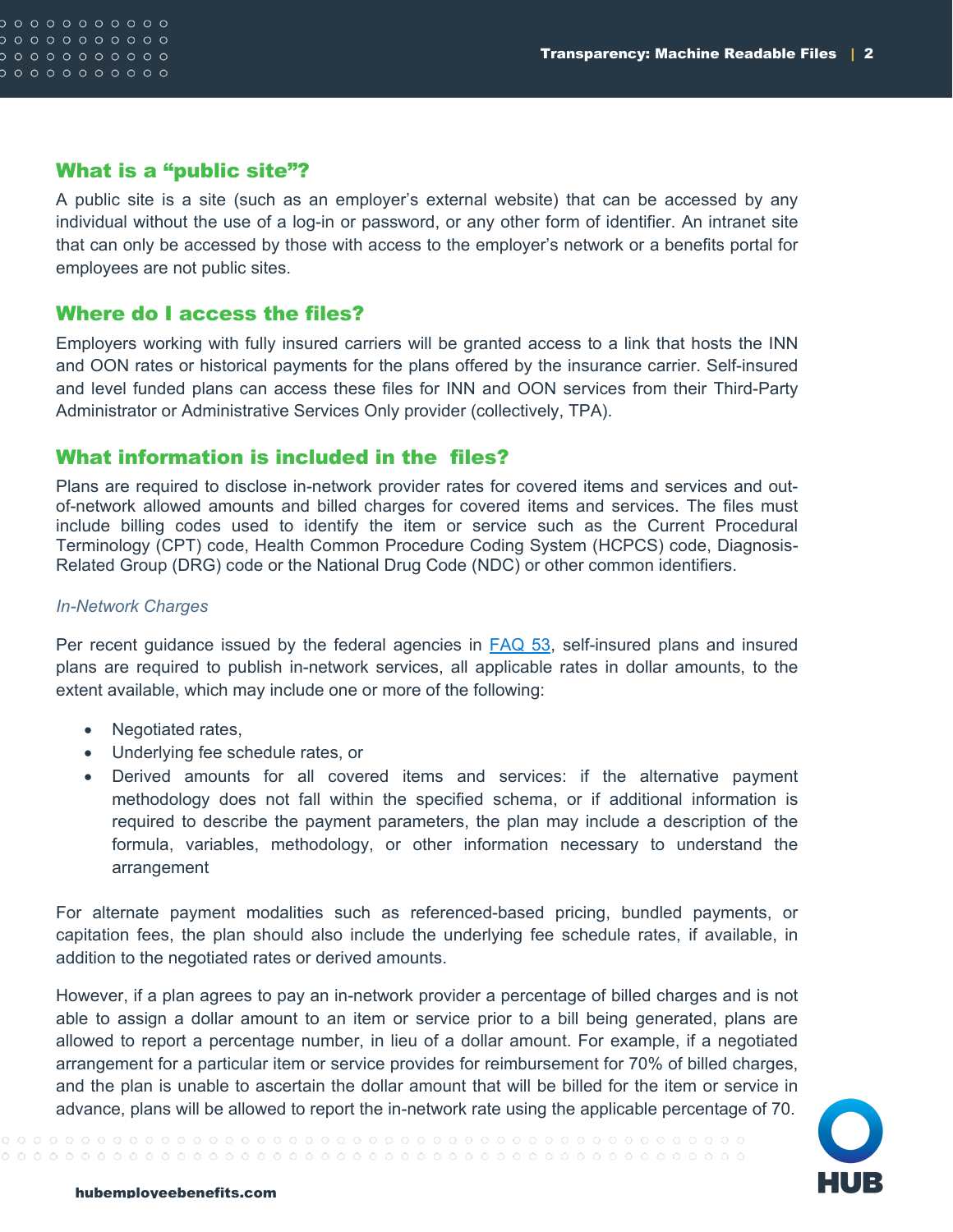```
0 0 0 0 0 0 0 0 0 000000000000
0 0 0 0 0 0 0 0 0 0
0 0 0 0 0 0 0 0 0 0
```
### What is a "public site"?

A public site is a site (such as an employer's external website) that can be accessed by any individual without the use of a log-in or password, or any other form of identifier. An intranet site that can only be accessed by those with access to the employer's network or a benefits portal for employees are not public sites.

### Where do I access the files?

Employers working with fully insured carriers will be granted access to a link that hosts the INN and OON rates or historical payments for the plans offered by the insurance carrier. Self-insured and level funded plans can access these files for INN and OON services from their Third-Party Administrator or Administrative Services Only provider (collectively, TPA).

### What information is included in the files?

Plans are required to disclose in-network provider rates for covered items and services and outof-network allowed amounts and billed charges for covered items and services. The files must include billing codes used to identify the item or service such as the Current Procedural Terminology (CPT) code, Health Common Procedure Coding System (HCPCS) code, Diagnosis-Related Group (DRG) code or the National Drug Code (NDC) or other common identifiers.

#### *In-Network Charges*

Per recent guidance issued by the federal agencies in [FAQ 53,](https://www.dol.gov/agencies/ebsa/about-ebsa/our-activities/resource-center/faqs/aca-part-53) self-insured plans and insured plans are required to publish in-network services, all applicable rates in dollar amounts, to the extent available, which may include one or more of the following:

- Negotiated rates,
- Underlying fee schedule rates, or
- Derived amounts for all covered items and services: if the alternative payment methodology does not fall within the specified schema, or if additional information is required to describe the payment parameters, the plan may include a description of the formula, variables, methodology, or other information necessary to understand the arrangement

For alternate payment modalities such as referenced-based pricing, bundled payments, or capitation fees, the plan should also include the underlying fee schedule rates, if available, in addition to the negotiated rates or derived amounts.

However, if a plan agrees to pay an in-network provider a percentage of billed charges and is not able to assign a dollar amount to an item or service prior to a bill being generated, plans are allowed to report a percentage number, in lieu of a dollar amount. For example, if a negotiated arrangement for a particular item or service provides for reimbursement for 70% of billed charges, and the plan is unable to ascertain the dollar amount that will be billed for the item or service in advance, plans will be allowed to report the in-network rate using the applicable percentage of 70.

 ${\color{red} 0} {\color{red} 0} {\color{red} 0} {\color{red} 0} {\color{red} 0} {\color{red} 0} {\color{red} 0} {\color{red} 0} {\color{red} 0} {\color{red} 0} {\color{red} 0} {\color{red} 0} {\color{red} 0} {\color{red} 0} {\color{red} 0} {\color{red} 0} {\color{red} 0} {\color{red} 0} {\color{red} 0} {\color{red} 0} {\color{red} 0} {\color{red} 0} {\color{red} 0} {\color{red} 0} {\color{red} 0} {\color{red} 0} {\color{red} 0} {\color{red$ 

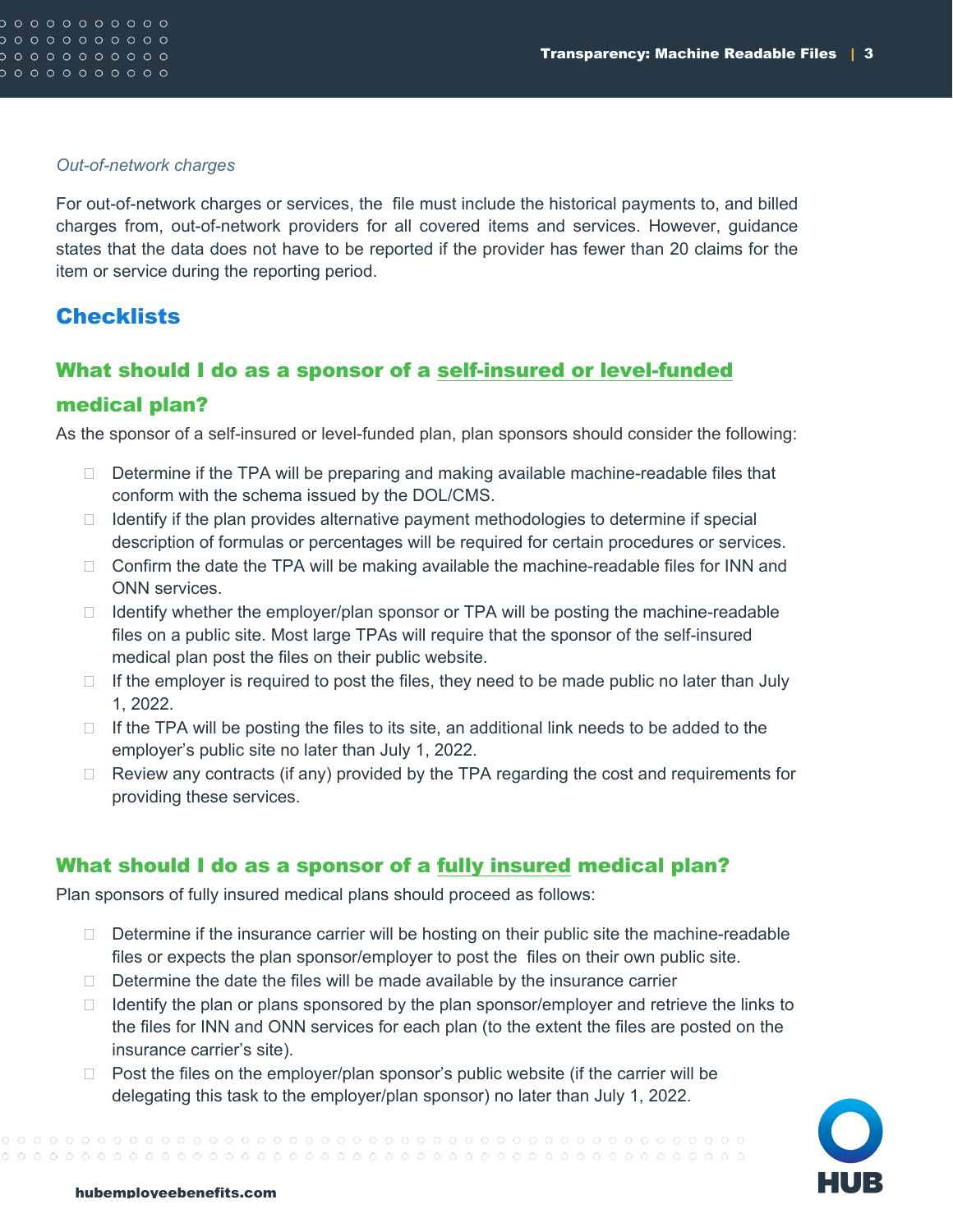#### *Out-of-network charges*

For out-of-network charges or services, the file must include the historical payments to, and billed charges from, out-of-network providers for all covered items and services. However, guidance states that the data does not have to be reported if the provider has fewer than 20 claims for the item or service during the reporting period.

# **Checklists**

# What should I do as a sponsor of a self-insured or level-funded medical plan?

As the sponsor of a self-insured or level-funded plan, plan sponsors should consider the following:

- $\Box$  Determine if the TPA will be preparing and making available machine-readable files that conform with the schema issued by the DOL/CMS.
- $\Box$  Identify if the plan provides alternative payment methodologies to determine if special description of formulas or percentages will be required for certain procedures or services.
- $\Box$  Confirm the date the TPA will be making available the machine-readable files for INN and ONN services.
- $\Box$  Identify whether the employer/plan sponsor or TPA will be posting the machine-readable files on a public site. Most large TPAs will require that the sponsor of the self-insured medical plan post the files on their public website.
- $\Box$  If the employer is required to post the files, they need to be made public no later than July 1, 2022.
- $\Box$  If the TPA will be posting the files to its site, an additional link needs to be added to the employer's public site no later than July 1, 2022.
- $\Box$  Review any contracts (if any) provided by the TPA regarding the cost and requirements for providing these services.

# What should I do as a sponsor of a fully insured medical plan?

Plan sponsors of fully insured medical plans should proceed as follows:

- $\Box$  Determine if the insurance carrier will be hosting on their public site the machine-readable files or expects the plan sponsor/employer to post the files on their own public site.
- $\Box$  Determine the date the files will be made available by the insurance carrier
- $\Box$  Identify the plan or plans sponsored by the plan sponsor/employer and retrieve the links to the files for INN and ONN services for each plan (to the extent the files are posted on the insurance carrier's site).
- $\Box$  Post the files on the employer/plan sponsor's public website (if the carrier will be delegating this task to the employer/plan sponsor) no later than July 1, 2022.